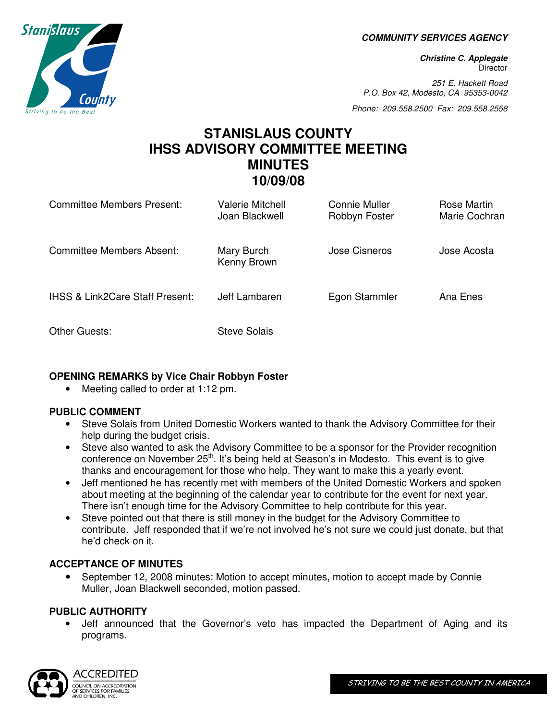**COMMUNITY SERVICES AGENCY** 

**Christine C. Applegate Director** 

251 E. Hackett Road P.O. Box 42, Modesto, CA 95353-0042

Phone: 209.558.2500 Fax: 209.558.2558

# **STANISLAUS COUNTY IHSS ADVISORY COMMITTEE MEETING MINUTES 10/09/08**

| <b>Committee Members Present:</b>          | Valerie Mitchell<br>Joan Blackwell | Connie Muller<br>Robbyn Foster | Rose Martin<br>Marie Cochran |
|--------------------------------------------|------------------------------------|--------------------------------|------------------------------|
| <b>Committee Members Absent:</b>           | Mary Burch<br>Kenny Brown          | Jose Cisneros                  | Jose Acosta                  |
| <b>IHSS &amp; Link2Care Staff Present:</b> | Jeff Lambaren                      | Egon Stammler                  | Ana Enes                     |
| Other Guests:                              | Steve Solais                       |                                |                              |

## **OPENING REMARKS by Vice Chair Robbyn Foster**

• Meeting called to order at 1:12 pm.

## **PUBLIC COMMENT**

- Steve Solais from United Domestic Workers wanted to thank the Advisory Committee for their help during the budget crisis.
- Steve also wanted to ask the Advisory Committee to be a sponsor for the Provider recognition conference on November 25<sup>th</sup>. It's being held at Season's in Modesto. This event is to give thanks and encouragement for those who help. They want to make this a yearly event.
- Jeff mentioned he has recently met with members of the United Domestic Workers and spoken about meeting at the beginning of the calendar year to contribute for the event for next year. There isn't enough time for the Advisory Committee to help contribute for this year.
- Steve pointed out that there is still money in the budget for the Advisory Committee to contribute. Jeff responded that if we're not involved he's not sure we could just donate, but that he'd check on it.

## **ACCEPTANCE OF MINUTES**

• September 12, 2008 minutes: Motion to accept minutes, motion to accept made by Connie Muller, Joan Blackwell seconded, motion passed.

## **PUBLIC AUTHORITY**

• Jeff announced that the Governor's veto has impacted the Department of Aging and its programs.